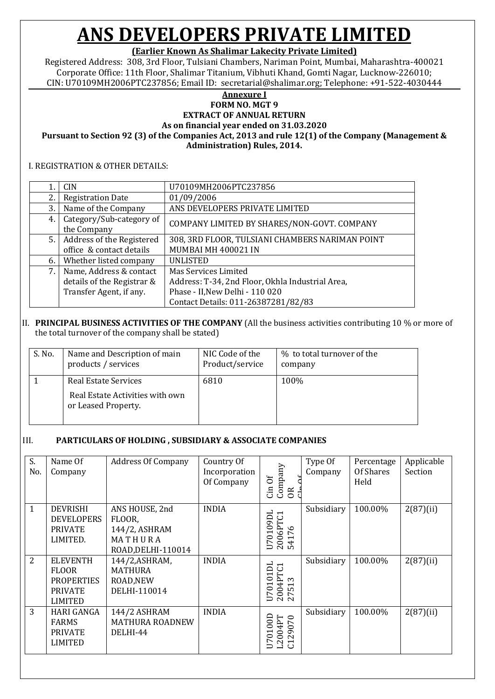### **(Earlier Known As Shalimar Lakecity Private Limited)**

Registered Address: 308, 3rd Floor, Tulsiani Chambers, Nariman Point, Mumbai, Maharashtra-400021 Corporate Office: 11th Floor, Shalimar Titanium, Vibhuti Khand, Gomti Nagar, Lucknow-226010; CIN: U70109MH2006PTC237856; Email ID: secretarial@shalimar.org; Telephone: +91-522-4030444

#### **Annexure I**

**FORM NO. MGT 9 EXTRACT OF ANNUAL RETURN**

**As on financial year ended on 31.03.2020**

**Pursuant to Section 92 (3) of the Companies Act, 2013 and rule 12(1) of the Company (Management & Administration) Rules, 2014.**

#### I. REGISTRATION & OTHER DETAILS:

|    | <b>CIN</b>                              | U70109MH2006PTC237856                            |
|----|-----------------------------------------|--------------------------------------------------|
| 2. | <b>Registration Date</b>                | 01/09/2006                                       |
| 3. | Name of the Company                     | ANS DEVELOPERS PRIVATE LIMITED                   |
| 4. | Category/Sub-category of<br>the Company | COMPANY LIMITED BY SHARES/NON-GOVT. COMPANY      |
| 5. | Address of the Registered               | 308, 3RD FLOOR, TULSIANI CHAMBERS NARIMAN POINT  |
|    | office & contact details                | MUMBAI MH 400021 IN                              |
| 6. | Whether listed company                  | <b>UNLISTED</b>                                  |
| 7. | Name, Address & contact                 | Mas Services Limited                             |
|    | details of the Registrar &              | Address: T-34, 2nd Floor, Okhla Industrial Area, |
|    | Transfer Agent, if any.                 | Phase - II, New Delhi - 110 020                  |
|    |                                         | Contact Details: 011-26387281/82/83              |

#### II. **PRINCIPAL BUSINESS ACTIVITIES OF THE COMPANY** (All the business activities contributing 10 % or more of the total turnover of the company shall be stated)

| S. No. | Name and Description of main                                                   | NIC Code of the | % to total turnover of the |
|--------|--------------------------------------------------------------------------------|-----------------|----------------------------|
|        | products / services                                                            | Product/service | company                    |
|        | Real Estate Services<br>Real Estate Activities with own<br>or Leased Property. | 6810            | 100%                       |

#### III. **PARTICULARS OF HOLDING , SUBSIDIARY & ASSOCIATE COMPANIES**

| S.<br>No.      | Name Of<br>Company                                                                       | <b>Address Of Company</b>                                                  | Country Of<br>Incorporation<br>Of Company | Company<br>ð<br>Cin<br>OR <sub></sub>                                                                                             | Type Of<br>Company | Percentage<br>Of Shares<br>Held | Applicable<br>Section |
|----------------|------------------------------------------------------------------------------------------|----------------------------------------------------------------------------|-------------------------------------------|-----------------------------------------------------------------------------------------------------------------------------------|--------------------|---------------------------------|-----------------------|
| $\mathbf{1}$   | <b>DEVRISHI</b><br><b>DEVELOPERS</b><br><b>PRIVATE</b><br>LIMITED.                       | ANS HOUSE, 2nd<br>FLOOR,<br>144/2, ASHRAM<br>MATHURA<br>ROAD, DELHI-110014 | <b>INDIA</b>                              | E<br>6PTC1<br>$\mathbf{S}$<br>$\circ$<br>$\overline{ }$<br>2000                                                                   | Subsidiary         | 100.00%                         | 2(87)(ii)             |
| $\overline{2}$ | <b>ELEVENTH</b><br><b>FLOOR</b><br><b>PROPERTIES</b><br><b>PRIVATE</b><br><b>LIMITED</b> | 144/2, ASHRAM,<br><b>MATHURA</b><br>ROAD, NEW<br>DELHI-110014              | <b>INDIA</b>                              | $\overline{\phantom{0}}$<br>$\Box$<br>4PTC:<br>$\circ$<br>$\infty$<br>$\overline{ }$<br>Š<br>ഥ<br>$\overline{ }$<br>$\sim$ $\sim$ | Subsidiary         | 100.00%                         | 2(87)(ii)             |
| 3              | <b>HARI GANGA</b><br><b>FARMS</b><br><b>PRIVATE</b><br><b>LIMITED</b>                    | 144/2 ASHRAM<br><b>MATHURA ROADNEW</b><br>DELHI-44                         | <b>INDIA</b>                              | 004PT<br>29070<br>$\overline{5}$<br>$\mathbf{Z}$<br>$\overline{\phantom{0}}$<br>ల                                                 | Subsidiary         | 100.00%                         | $2(87)$ (ii)          |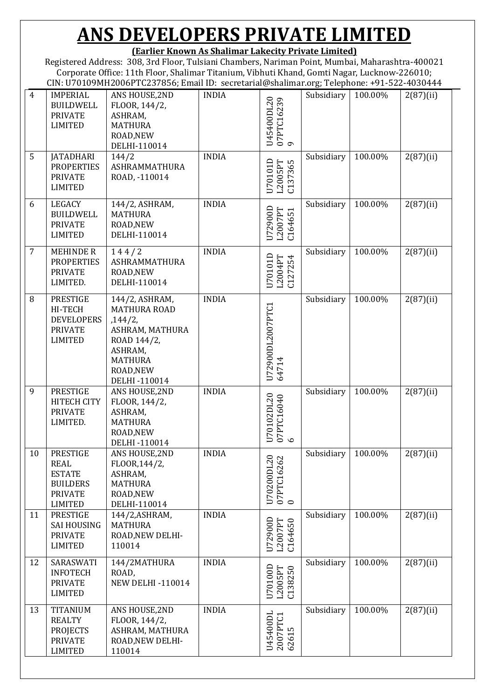**(Earlier Known As Shalimar Lakecity Private Limited)**

Registered Address: 308, 3rd Floor, Tulsiani Chambers, Nariman Point, Mumbai, Maharashtra-400021 Corporate Office: 11th Floor, Shalimar Titanium, Vibhuti Khand, Gomti Nagar, Lucknow-226010; CIN: U70109MH2006PTC237856; Email ID: secretarial@shalimar.org; Telephone: +91-522-4030444

| $\overline{4}$ | <b>IMPERIAL</b><br><b>BUILDWELL</b><br><b>PRIVATE</b><br><b>LIMITED</b>                                | ANS HOUSE, 2ND<br>FLOOR, 144/2,<br>ASHRAM,<br><b>MATHURA</b><br>ROAD, NEW<br>DELHI-110014                                                     | <b>INDIA</b> | U45400DL20<br>07PTC16239<br>9   | Subsidiary | 100.00% | 2(87)(ii)    |
|----------------|--------------------------------------------------------------------------------------------------------|-----------------------------------------------------------------------------------------------------------------------------------------------|--------------|---------------------------------|------------|---------|--------------|
| 5              | <b>JATADHARI</b><br><b>PROPERTIES</b><br><b>PRIVATE</b><br><b>LIMITED</b>                              | 144/2<br><b>ASHRAMMATHURA</b><br>ROAD, -110014                                                                                                | <b>INDIA</b> | U70101D<br>L2005PT<br>C137365   | Subsidiary | 100.00% | $2(87)$ (ii) |
| 6              | <b>LEGACY</b><br><b>BUILDWELL</b><br><b>PRIVATE</b><br><b>LIMITED</b>                                  | 144/2, ASHRAM,<br><b>MATHURA</b><br>ROAD, NEW<br>DELHI-110014                                                                                 | <b>INDIA</b> | U72900D<br>L2007PT<br>C164651   | Subsidiary | 100.00% | $2(87)$ (ii) |
| 7              | <b>MEHINDE R</b><br><b>PROPERTIES</b><br><b>PRIVATE</b><br>LIMITED.                                    | 144/2<br><b>ASHRAMMATHURA</b><br>ROAD, NEW<br>DELHI-110014                                                                                    | <b>INDIA</b> | U70101D<br>L2004PT<br>C127254   | Subsidiary | 100.00% | $2(87)$ (ii) |
| 8              | <b>PRESTIGE</b><br>HI-TECH<br><b>DEVELOPERS</b><br><b>PRIVATE</b><br><b>LIMITED</b>                    | 144/2, ASHRAM,<br><b>MATHURA ROAD</b><br>, 144/2,<br>ASHRAM, MATHURA<br>ROAD 144/2,<br>ASHRAM,<br><b>MATHURA</b><br>ROAD, NEW<br>DELHI-110014 | <b>INDIA</b> | U72900DL2007PTC1<br>64714       | Subsidiary | 100.00% | $2(87)$ (ii) |
| 9              | <b>PRESTIGE</b><br><b>HITECH CITY</b><br><b>PRIVATE</b><br>LIMITED.                                    | ANS HOUSE, 2ND<br>FLOOR, 144/2,<br>ASHRAM,<br><b>MATHURA</b><br>ROAD, NEW<br>DELHI-110014                                                     | <b>INDIA</b> | U70102DL20<br>07PTC16040<br>6   | Subsidiary | 100.00% | $2(87)$ (ii) |
| 10             | <b>PRESTIGE</b><br><b>REAL</b><br><b>ESTATE</b><br><b>BUILDERS</b><br><b>PRIVATE</b><br><b>LIMITED</b> | ANS HOUSE, 2ND<br>FLOOR, 144/2,<br>ASHRAM,<br><b>MATHURA</b><br>ROAD, NEW<br>DELHI-110014                                                     | <b>INDIA</b> | U70200DL20<br>07PTC16262<br>0   | Subsidiary | 100.00% | $2(87)$ (ii) |
| 11             | <b>PRESTIGE</b><br><b>SAI HOUSING</b><br><b>PRIVATE</b><br><b>LIMITED</b>                              | 144/2, ASHRAM,<br><b>MATHURA</b><br>ROAD, NEW DELHI-<br>110014                                                                                | <b>INDIA</b> | U72900D<br>L2007PT<br>C164650   | Subsidiary | 100.00% | $2(87)$ (ii) |
| 12             | SARASWATI<br><b>INFOTECH</b><br><b>PRIVATE</b><br><b>LIMITED</b>                                       | 144/2MATHURA<br>ROAD,<br><b>NEW DELHI-110014</b>                                                                                              | <b>INDIA</b> | U70100D<br>$L2005PT$<br>C138250 | Subsidiary | 100.00% | $2(87)$ (ii) |
| 13             | <b>TITANIUM</b><br><b>REALTY</b><br><b>PROJECTS</b><br><b>PRIVATE</b><br><b>LIMITED</b>                | ANS HOUSE, 2ND<br>FLOOR, 144/2,<br>ASHRAM, MATHURA<br>ROAD, NEW DELHI-<br>110014                                                              | <b>INDIA</b> | U45400DL<br>2007PTC1<br>62615   | Subsidiary | 100.00% | $2(87)$ (ii) |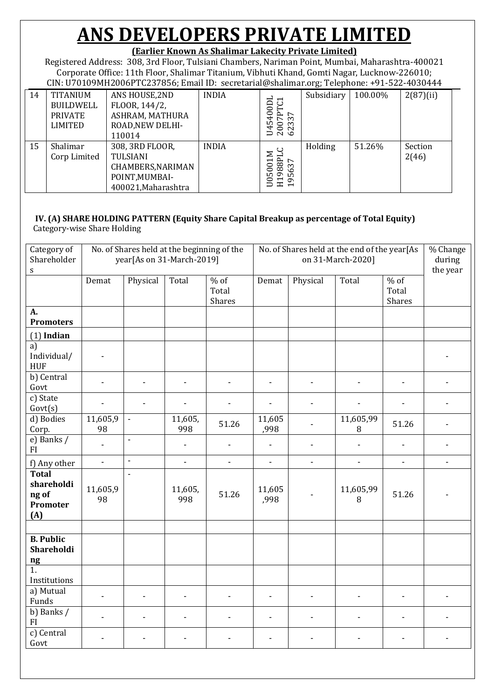### **(Earlier Known As Shalimar Lakecity Private Limited)**

Registered Address: 308, 3rd Floor, Tulsiani Chambers, Nariman Point, Mumbai, Maharashtra-400021 Corporate Office: 11th Floor, Shalimar Titanium, Vibhuti Khand, Gomti Nagar, Lucknow-226010; CIN: U70109MH2006PTC237856; Email ID: secretarial@shalimar.org; Telephone: +91-522-4030444

|    |                                                                  |                                                                                           |              |                                                                                                                                                                             | $\cdot$    |         |                  |
|----|------------------------------------------------------------------|-------------------------------------------------------------------------------------------|--------------|-----------------------------------------------------------------------------------------------------------------------------------------------------------------------------|------------|---------|------------------|
| 14 | <b>TITANIUM</b><br>BUILDWELL<br><b>PRIVATE</b><br><b>LIMITED</b> | ANS HOUSE, 2ND<br>FLOOR, 144/2,<br>ASHRAM, MATHURA<br>ROAD, NEW DELHI-<br>110014          | <b>INDIA</b> | <u>ដ</u><br>ದ<br>4001<br>$\vdash$<br>$R_{37}$<br>ഗ<br>$\circ$ m<br>388                                                                                                      | Subsidiary | 100.00% | $2(87)$ (ii)     |
| 15 | Shalimar<br>Corp Limited                                         | 308, 3RD FLOOR,<br>TULSIANI<br>CHAMBERS, NARIMAN<br>POINT, MUMBAI-<br>400021, Maharashtra | <b>INDIA</b> | $\overline{H}$<br>$\overline{ }$<br>88<br>0<br>63<br>0<br>$\sigma$<br>LO<br>ம<br>0<br>$\sigma$<br>$\overline{\phantom{0}}$<br>$\mathbf{r}$<br>⊃<br>$\overline{\phantom{0}}$ | Holding    | 51.26%  | Section<br>2(46) |

### **IV. (A) SHARE HOLDING PATTERN (Equity Share Capital Breakup as percentage of Total Equity)**

Category-wise Share Holding

| Category of<br>Shareholder<br>$\mathbf S$                             |                          |                          | No. of Shares held at the beginning of the<br>year[As on 31-March-2019] |                           |                |                          | No. of Shares held at the end of the year[As<br>on 31-March-2020] |                           | % Change<br>during<br>the year |
|-----------------------------------------------------------------------|--------------------------|--------------------------|-------------------------------------------------------------------------|---------------------------|----------------|--------------------------|-------------------------------------------------------------------|---------------------------|--------------------------------|
|                                                                       | Demat                    | Physical                 | Total                                                                   | $%$ of<br>Total<br>Shares | Demat          | Physical                 | Total                                                             | $%$ of<br>Total<br>Shares |                                |
| A.<br><b>Promoters</b>                                                |                          |                          |                                                                         |                           |                |                          |                                                                   |                           |                                |
| $(1)$ Indian                                                          |                          |                          |                                                                         |                           |                |                          |                                                                   |                           |                                |
| a)<br>Individual/<br><b>HUF</b>                                       |                          |                          |                                                                         |                           |                |                          |                                                                   |                           |                                |
| $\overline{b}$ Central<br>Govt                                        |                          | L.                       | $\overline{\phantom{0}}$                                                | $\overline{\phantom{a}}$  |                | $\overline{a}$           |                                                                   | $\overline{a}$            |                                |
| c) State<br>Govt(s)                                                   |                          |                          |                                                                         |                           |                |                          |                                                                   |                           |                                |
| d) Bodies<br>Corp.                                                    | 11,605,9<br>98           | $\overline{\phantom{a}}$ | 11,605,<br>998                                                          | 51.26                     | 11,605<br>,998 |                          | 11,605,99<br>8                                                    | 51.26                     |                                |
| e) Banks /<br>FI                                                      | $\blacksquare$           | $\overline{a}$           | $\overline{\phantom{a}}$                                                |                           | $\frac{1}{2}$  | $\overline{\phantom{a}}$ |                                                                   | L,                        |                                |
| f) Any other                                                          | $\overline{\phantom{a}}$ | $\overline{a}$           | $\blacksquare$                                                          | $\blacksquare$            | $\blacksquare$ | $\overline{\phantom{a}}$ | $\overline{\phantom{a}}$                                          | $\overline{\phantom{a}}$  | $\overline{\phantom{0}}$       |
| <b>Total</b><br>shareholdi<br>ng of<br>Promoter<br>(A)                | 11,605,9<br>98           | $\overline{a}$           | 11,605,<br>998                                                          | 51.26                     | 11,605<br>,998 |                          | 11,605,99<br>$\, 8$                                               | 51.26                     |                                |
|                                                                       |                          |                          |                                                                         |                           |                |                          |                                                                   |                           |                                |
| <b>B.</b> Public<br>Shareholdi<br>$\boldsymbol{\mathsf{n}\mathsf{g}}$ |                          |                          |                                                                         |                           |                |                          |                                                                   |                           |                                |
| 1.<br>Institutions                                                    |                          |                          |                                                                         |                           |                |                          |                                                                   |                           |                                |
| a) Mutual<br>Funds                                                    | $\blacksquare$           |                          | $\overline{\phantom{m}}$                                                | $\overline{a}$            | $\overline{a}$ |                          |                                                                   | $\overline{a}$            |                                |
| b) Banks /<br>FI                                                      | $\overline{a}$           |                          | $\blacksquare$                                                          | $\overline{a}$            | $\overline{a}$ |                          |                                                                   | $\blacksquare$            | $\overline{a}$                 |
| c) Central<br>Govt                                                    |                          |                          | $\overline{\phantom{m}}$                                                | ٠                         |                |                          | ÷,                                                                | $\overline{a}$            | $\overline{a}$                 |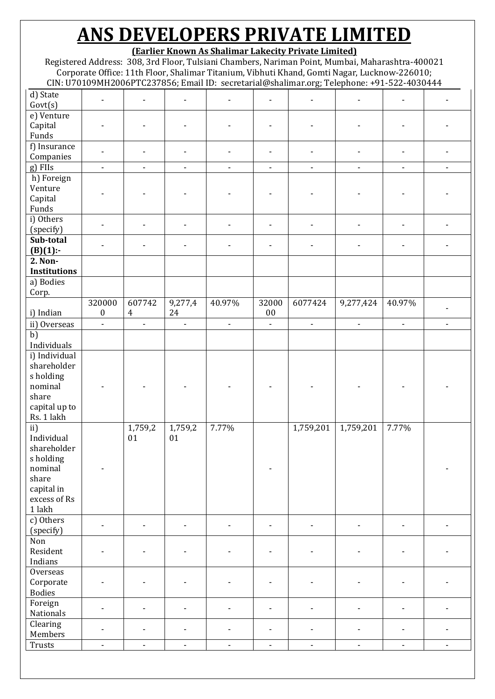**(Earlier Known As Shalimar Lakecity Private Limited)**

Registered Address: 308, 3rd Floor, Tulsiani Chambers, Nariman Point, Mumbai, Maharashtra-400021 Corporate Office: 11th Floor, Shalimar Titanium, Vibhuti Khand, Gomti Nagar, Lucknow-226010; CIN: U70109MH2006PTC237856; Email ID: secretarial@shalimar.org; Telephone: +91-522-4030444

|                     |                          |                          |                          |                          |                          | ᅌ'<br>$\overline{\phantom{a}}$ |                          |                              |                          |
|---------------------|--------------------------|--------------------------|--------------------------|--------------------------|--------------------------|--------------------------------|--------------------------|------------------------------|--------------------------|
| d) State<br>Govt(s) | $\overline{\phantom{0}}$ | $\overline{\phantom{a}}$ | $\overline{\phantom{a}}$ | $\overline{\phantom{a}}$ | $\overline{\phantom{a}}$ |                                | $\overline{\phantom{a}}$ | $\qquad \qquad \blacksquare$ |                          |
|                     |                          |                          |                          |                          |                          |                                |                          |                              |                          |
| e) Venture          |                          |                          |                          |                          |                          |                                |                          |                              |                          |
| Capital             |                          |                          |                          |                          |                          |                                |                          |                              |                          |
| Funds               |                          |                          |                          |                          |                          |                                |                          |                              |                          |
| f) Insurance        |                          |                          |                          |                          |                          |                                |                          |                              |                          |
| Companies           | $\overline{\phantom{a}}$ |                          | $\overline{\phantom{a}}$ |                          | $\overline{\phantom{a}}$ |                                |                          | $\overline{\phantom{a}}$     |                          |
|                     |                          |                          |                          |                          |                          |                                |                          |                              |                          |
| g) FIIs             | $\overline{\phantom{a}}$ | $\overline{\phantom{a}}$ | $\overline{\phantom{a}}$ | $\overline{\phantom{a}}$ | $\overline{\phantom{a}}$ | $\overline{\phantom{a}}$       | $\blacksquare$           | $\blacksquare$               | $\blacksquare$           |
| h) Foreign          |                          |                          |                          |                          |                          |                                |                          |                              |                          |
| Venture             |                          |                          |                          |                          |                          |                                |                          |                              |                          |
| Capital             |                          |                          |                          |                          |                          |                                |                          |                              |                          |
| Funds               |                          |                          |                          |                          |                          |                                |                          |                              |                          |
| i) Others           |                          |                          |                          |                          |                          |                                |                          |                              |                          |
|                     |                          |                          |                          |                          |                          |                                |                          | ٠                            |                          |
| (specify)           |                          |                          |                          |                          |                          |                                |                          |                              |                          |
| Sub-total           |                          |                          | $\overline{\phantom{a}}$ |                          | $\blacksquare$           |                                |                          |                              |                          |
| $(B)(1)$ :-         |                          |                          |                          |                          |                          |                                |                          |                              |                          |
| 2. Non-             |                          |                          |                          |                          |                          |                                |                          |                              |                          |
| <b>Institutions</b> |                          |                          |                          |                          |                          |                                |                          |                              |                          |
| a) Bodies           |                          |                          |                          |                          |                          |                                |                          |                              |                          |
| Corp.               |                          |                          |                          |                          |                          |                                |                          |                              |                          |
|                     | 320000                   | 607742                   |                          | 40.97%                   | 32000                    | 6077424                        |                          | 40.97%                       |                          |
|                     |                          |                          | 9,277,4                  |                          |                          |                                | 9,277,424                |                              |                          |
| i) Indian           | $\boldsymbol{0}$         | $\overline{4}$           | 24                       |                          | $0 \\ 0$                 |                                |                          |                              |                          |
| ii) Overseas        | $\overline{\phantom{a}}$ | $\overline{\phantom{a}}$ | $\Box$                   | $\overline{\phantom{a}}$ | $\overline{\phantom{a}}$ | $\overline{\phantom{a}}$       | $\overline{\phantom{a}}$ | $\overline{\phantom{a}}$     | $\overline{\phantom{0}}$ |
| b)                  |                          |                          |                          |                          |                          |                                |                          |                              |                          |
| Individuals         |                          |                          |                          |                          |                          |                                |                          |                              |                          |
| i) Individual       |                          |                          |                          |                          |                          |                                |                          |                              |                          |
| shareholder         |                          |                          |                          |                          |                          |                                |                          |                              |                          |
|                     |                          |                          |                          |                          |                          |                                |                          |                              |                          |
| s holding           |                          |                          |                          |                          |                          |                                |                          |                              |                          |
| nominal             |                          |                          |                          |                          |                          |                                |                          |                              |                          |
| share               |                          |                          |                          |                          |                          |                                |                          |                              |                          |
| capital up to       |                          |                          |                          |                          |                          |                                |                          |                              |                          |
| Rs. 1 lakh          |                          |                          |                          |                          |                          |                                |                          |                              |                          |
| ii)                 |                          | 1,759,2                  | 1,759,2                  | 7.77%                    |                          | 1,759,201                      | 1,759,201                | 7.77%                        |                          |
|                     |                          |                          |                          |                          |                          |                                |                          |                              |                          |
| Individual          |                          | 01                       | 01                       |                          |                          |                                |                          |                              |                          |
| shareholder         |                          |                          |                          |                          |                          |                                |                          |                              |                          |
| s holding           |                          |                          |                          |                          |                          |                                |                          |                              |                          |
| nominal             |                          |                          |                          |                          |                          |                                |                          |                              |                          |
| share               |                          |                          |                          |                          |                          |                                |                          |                              |                          |
| capital in          |                          |                          |                          |                          |                          |                                |                          |                              |                          |
| excess of Rs        |                          |                          |                          |                          |                          |                                |                          |                              |                          |
|                     |                          |                          |                          |                          |                          |                                |                          |                              |                          |
| 1 lakh              |                          |                          |                          |                          |                          |                                |                          |                              |                          |
| c) Others           | $\blacksquare$           | $\blacksquare$           |                          | $\blacksquare$           |                          | $\overline{a}$                 | $\blacksquare$           | $\blacksquare$               |                          |
| (specify)           |                          |                          |                          |                          |                          |                                |                          |                              |                          |
| Non                 |                          |                          |                          |                          |                          |                                |                          |                              |                          |
| Resident            | ۰                        |                          | $\overline{\phantom{a}}$ |                          | $\blacksquare$           |                                |                          | $\overline{\phantom{a}}$     |                          |
| Indians             |                          |                          |                          |                          |                          |                                |                          |                              |                          |
|                     |                          |                          |                          |                          |                          |                                |                          |                              |                          |
| Overseas            |                          |                          |                          |                          |                          |                                |                          |                              |                          |
| Corporate           |                          |                          | $\overline{\phantom{a}}$ |                          |                          |                                |                          | $\overline{a}$               |                          |
| <b>Bodies</b>       |                          |                          |                          |                          |                          |                                |                          |                              |                          |
| Foreign             |                          |                          |                          |                          |                          |                                |                          |                              |                          |
| <b>Nationals</b>    |                          |                          | $\overline{\phantom{a}}$ |                          | $\overline{a}$           | $\overline{\phantom{a}}$       |                          | $\blacksquare$               |                          |
| Clearing            |                          |                          |                          |                          |                          |                                |                          |                              |                          |
| Members             | $\overline{\phantom{a}}$ | $\blacksquare$           | $\overline{\phantom{a}}$ | $\blacksquare$           | $\overline{\phantom{a}}$ | $\overline{\phantom{a}}$       | $\blacksquare$           | $\overline{\phantom{a}}$     |                          |
|                     |                          |                          |                          |                          |                          |                                |                          |                              |                          |
| Trusts              | $\overline{\phantom{a}}$ | $\overline{\phantom{a}}$ | $\blacksquare$           | $\overline{\phantom{m}}$ | $\blacksquare$           | $\overline{\phantom{a}}$       | $\blacksquare$           | $\blacksquare$               | $\overline{\phantom{a}}$ |
|                     |                          |                          |                          |                          |                          |                                |                          |                              |                          |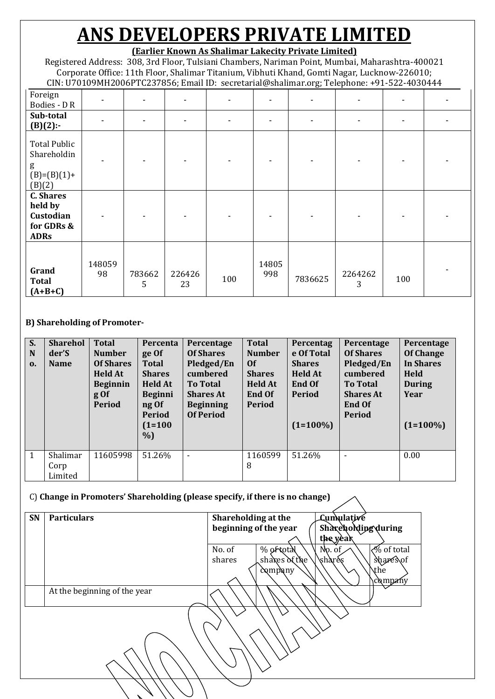### **(Earlier Known As Shalimar Lakecity Private Limited)**

Registered Address: 308, 3rd Floor, Tulsiani Chambers, Nariman Point, Mumbai, Maharashtra-400021 Corporate Office: 11th Floor, Shalimar Titanium, Vibhuti Khand, Gomti Nagar, Lucknow-226010; CIN: U70109MH2006PTC237856; Email ID: secretarial@shalimar.org; Telephone: +91-522-4030444

|                                                                       |              |             | $\overline{\phantom{a}}$ |     |              | ັ       | л.           |     |  |
|-----------------------------------------------------------------------|--------------|-------------|--------------------------|-----|--------------|---------|--------------|-----|--|
| Foreign<br>Bodies - DR                                                |              |             |                          |     |              |         |              |     |  |
| Sub-total<br>$(B)(2)$ :-                                              |              |             |                          |     |              |         |              |     |  |
| <b>Total Public</b><br>Shareholdin<br>g<br>$(B)=(B)(1)+$<br>(B)(2)    |              |             |                          |     |              |         |              |     |  |
| <b>C.</b> Shares<br>held by<br>Custodian<br>for GDRs &<br><b>ADRs</b> |              |             |                          |     |              |         |              |     |  |
| Grand<br><b>Total</b><br>$(A+B+C)$                                    | 148059<br>98 | 783662<br>5 | 226426<br>23             | 100 | 14805<br>998 | 7836625 | 2264262<br>3 | 100 |  |

#### **B) Shareholding of Promoter-**

| S.<br>N<br>$\mathbf{0}$ | <b>Sharehol</b><br>der'S<br><b>Name</b> | <b>Total</b><br><b>Number</b><br><b>Of Shares</b><br><b>Held At</b><br><b>Beginnin</b><br>$g \circ f$<br><b>Period</b> | Percenta<br>ge Of<br><b>Total</b><br><b>Shares</b><br><b>Held At</b><br><b>Beginni</b><br>ng Of<br><b>Period</b><br>$(1=100)$<br>$\%$ | Percentage<br><b>Of Shares</b><br>Pledged/En<br>cumbered<br><b>To Total</b><br><b>Shares At</b><br><b>Beginning</b><br><b>Of Period</b> | <b>Total</b><br><b>Number</b><br>0f<br><b>Shares</b><br><b>Held At</b><br>End Of<br><b>Period</b> | Percentag<br>e Of Total<br><b>Shares</b><br><b>Held At</b><br><b>End Of</b><br><b>Period</b><br>$(1=100\%)$ | Percentage<br><b>Of Shares</b><br>Pledged/En<br>cumbered<br><b>To Total</b><br><b>Shares At</b><br><b>End Of</b><br><b>Period</b> | Percentage<br><b>Of Change</b><br><b>In Shares</b><br>Held<br><b>During</b><br>Year<br>$(1=100\%)$ |
|-------------------------|-----------------------------------------|------------------------------------------------------------------------------------------------------------------------|---------------------------------------------------------------------------------------------------------------------------------------|-----------------------------------------------------------------------------------------------------------------------------------------|---------------------------------------------------------------------------------------------------|-------------------------------------------------------------------------------------------------------------|-----------------------------------------------------------------------------------------------------------------------------------|----------------------------------------------------------------------------------------------------|
| $\mathbf{1}$            | Shalimar<br>Corp<br>Limited             | 11605998                                                                                                               | 51.26%                                                                                                                                | $\overline{a}$                                                                                                                          | 1160599<br>8                                                                                      | 51.26%                                                                                                      | $\overline{\phantom{a}}$                                                                                                          | 0.00                                                                                               |

#### C) **Change in Promoters' Shareholding (please specify, if there is no change)**

| SN | <b>Particulars</b>           | Shareholding at the                 | Lumulative                    |
|----|------------------------------|-------------------------------------|-------------------------------|
|    |                              | beginning of the year               | Shareholding during           |
|    |                              |                                     |                               |
|    |                              |                                     | the year                      |
|    |                              | % of total<br>$Np.$ of<br>No. of    | $\sqrt{\frac{6}{9}}$ of total |
|    |                              | shares<br>\share\s<br>shakes of the | shares of                     |
|    |                              | company                             | \the                          |
|    |                              |                                     | company                       |
|    | At the beginning of the year |                                     |                               |
|    |                              |                                     |                               |
|    |                              |                                     |                               |
|    |                              |                                     |                               |
|    |                              |                                     |                               |
|    |                              |                                     |                               |
|    |                              |                                     |                               |
|    |                              |                                     |                               |
|    |                              |                                     |                               |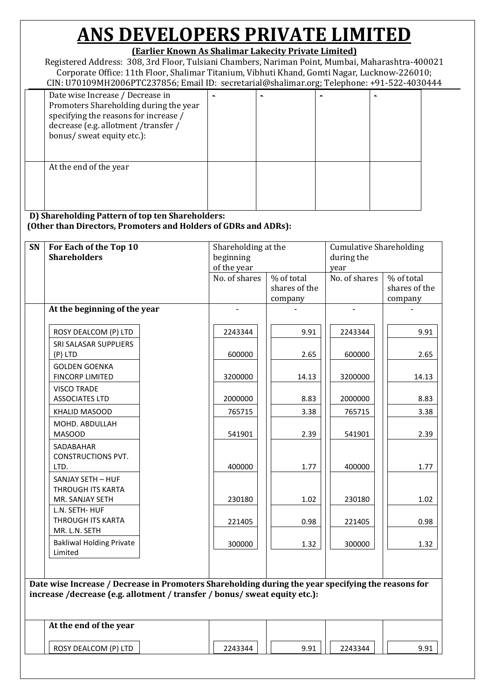### **(Earlier Known As Shalimar Lakecity Private Limited)**

Registered Address: 308, 3rd Floor, Tulsiani Chambers, Nariman Point, Mumbai, Maharashtra-400021 Corporate Office: 11th Floor, Shalimar Titanium, Vibhuti Khand, Gomti Nagar, Lucknow-226010; CIN: U70109MH2006PTC237856; Email ID: secretarial@shalimar.org; Telephone: +91-522-4030444

|                                                                                                                                                                                           |  | . |  |
|-------------------------------------------------------------------------------------------------------------------------------------------------------------------------------------------|--|---|--|
| Date wise Increase / Decrease in<br>Promoters Shareholding during the year<br>specifying the reasons for increase /<br>decrease (e.g. allotment /transfer /<br>bonus/ sweat equity etc.): |  |   |  |
| At the end of the year                                                                                                                                                                    |  |   |  |

**D) Shareholding Pattern of top ten Shareholders: (Other than Directors, Promoters and Holders of GDRs and ADRs):**

| SN | For Each of the Top 10<br><b>Shareholders</b>                                                                                                                                    |  | Shareholding at the<br>beginning<br>of the year |                                        | <b>Cumulative Shareholding</b><br>during the<br>year |                                        |  |
|----|----------------------------------------------------------------------------------------------------------------------------------------------------------------------------------|--|-------------------------------------------------|----------------------------------------|------------------------------------------------------|----------------------------------------|--|
|    |                                                                                                                                                                                  |  | No. of shares                                   | % of total<br>shares of the<br>company | No. of shares                                        | % of total<br>shares of the<br>company |  |
|    | At the beginning of the year                                                                                                                                                     |  |                                                 |                                        |                                                      |                                        |  |
|    | ROSY DEALCOM (P) LTD                                                                                                                                                             |  | 2243344                                         | 9.91                                   | 2243344                                              | 9.91                                   |  |
|    | SRI SALASAR SUPPLIERS<br>(P) LTD                                                                                                                                                 |  | 600000                                          | 2.65                                   | 600000                                               | 2.65                                   |  |
|    | <b>GOLDEN GOENKA</b><br><b>FINCORP LIMITED</b><br><b>VISCO TRADE</b>                                                                                                             |  | 3200000                                         | 14.13                                  | 3200000                                              | 14.13                                  |  |
|    | <b>ASSOCIATES LTD</b>                                                                                                                                                            |  | 2000000                                         | 8.83                                   | 2000000                                              | 8.83                                   |  |
|    | <b>KHALID MASOOD</b>                                                                                                                                                             |  | 765715                                          | 3.38                                   | 765715                                               | 3.38                                   |  |
|    | MOHD. ABDULLAH<br><b>MASOOD</b>                                                                                                                                                  |  | 541901                                          | 2.39                                   | 541901                                               | 2.39                                   |  |
|    | SADABAHAR<br><b>CONSTRUCTIONS PVT.</b><br>LTD.                                                                                                                                   |  | 400000                                          | 1.77                                   | 400000                                               | 1.77                                   |  |
|    | SANJAY SETH - HUF<br><b>THROUGH ITS KARTA</b><br>MR. SANJAY SETH                                                                                                                 |  | 230180                                          | 1.02                                   | 230180                                               | 1.02                                   |  |
|    | L.N. SETH- HUF<br>THROUGH ITS KARTA<br>MR. L.N. SETH                                                                                                                             |  | 221405                                          | 0.98                                   | 221405                                               | 0.98                                   |  |
|    | <b>Bakliwal Holding Private</b><br>Limited                                                                                                                                       |  | 300000                                          | 1.32                                   | 300000                                               | 1.32                                   |  |
|    |                                                                                                                                                                                  |  |                                                 |                                        |                                                      |                                        |  |
|    | Date wise Increase / Decrease in Promoters Shareholding during the year specifying the reasons for<br>increase /decrease (e.g. allotment / transfer / bonus/ sweat equity etc.): |  |                                                 |                                        |                                                      |                                        |  |
|    | At the end of the year                                                                                                                                                           |  |                                                 |                                        |                                                      |                                        |  |
|    | ROSY DEALCOM (P) LTD                                                                                                                                                             |  | 2243344                                         | 9.91                                   | 2243344                                              | 9.91                                   |  |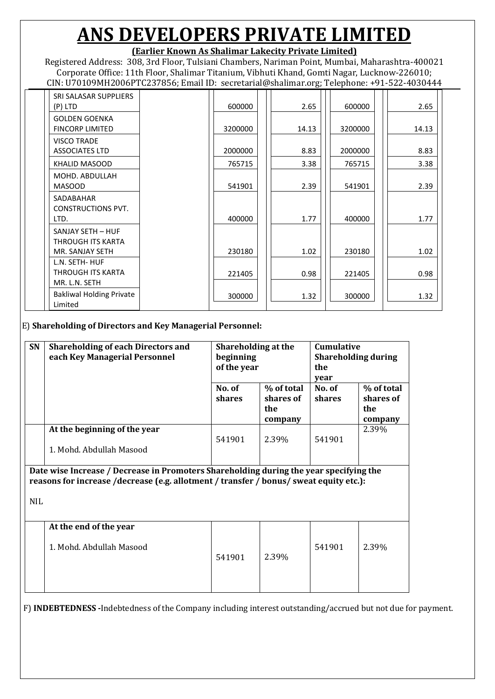### **(Earlier Known As Shalimar Lakecity Private Limited)**

Registered Address: 308, 3rd Floor, Tulsiani Chambers, Nariman Point, Mumbai, Maharashtra-400021 Corporate Office: 11th Floor, Shalimar Titanium, Vibhuti Khand, Gomti Nagar, Lucknow-226010; CIN: U70109MH2006PTC237856; Email ID: secretarial@shalimar.org; Telephone: +91-522-4030444

| SRI SALASAR SUPPLIERS<br>(P) LTD                            | 600000  | 2.65  | 600000  | 2.65  |
|-------------------------------------------------------------|---------|-------|---------|-------|
| <b>GOLDEN GOENKA</b><br><b>FINCORP LIMITED</b>              | 3200000 | 14.13 | 3200000 | 14.13 |
| <b>VISCO TRADE</b><br><b>ASSOCIATES LTD</b>                 | 2000000 | 8.83  | 2000000 | 8.83  |
| KHALID MASOOD                                               | 765715  | 3.38  | 765715  | 3.38  |
| MOHD, ABDULLAH<br><b>MASOOD</b>                             | 541901  | 2.39  | 541901  | 2.39  |
| SADABAHAR<br><b>CONSTRUCTIONS PVT.</b><br>LTD.              | 400000  | 1.77  | 400000  | 1.77  |
| SANJAY SETH - HUF<br>THROUGH ITS KARTA<br>MR. SANJAY SETH   | 230180  | 1.02  | 230180  | 1.02  |
| L.N. SETH- HUF<br><b>THROUGH ITS KARTA</b><br>MR. L.N. SETH | 221405  | 0.98  | 221405  | 0.98  |
| <b>Bakliwal Holding Private</b><br>Limited                  | 300000  | 1.32  | 300000  | 1.32  |

E) **Shareholding of Directors and Key Managerial Personnel:**

| SN         | <b>Shareholding of each Directors and</b><br>each Key Managerial Personnel                                                                                                       | Shareholding at the<br>beginning<br>of the year<br>% of total<br>No. of |                             | <b>Cumulative</b><br><b>Shareholding during</b><br>the<br>year<br>% of total<br>No. of |                             |  |
|------------|----------------------------------------------------------------------------------------------------------------------------------------------------------------------------------|-------------------------------------------------------------------------|-----------------------------|----------------------------------------------------------------------------------------|-----------------------------|--|
|            |                                                                                                                                                                                  | shares                                                                  | shares of<br>the<br>company | shares                                                                                 | shares of<br>the<br>company |  |
|            | At the beginning of the year<br>1. Mohd. Abdullah Masood                                                                                                                         | 541901                                                                  | 2.39%                       | 541901                                                                                 | 2.39%                       |  |
|            | Date wise Increase / Decrease in Promoters Shareholding during the year specifying the<br>reasons for increase /decrease (e.g. allotment / transfer / bonus/ sweat equity etc.): |                                                                         |                             |                                                                                        |                             |  |
| <b>NIL</b> |                                                                                                                                                                                  |                                                                         |                             |                                                                                        |                             |  |
|            | At the end of the year<br>1. Mohd. Abdullah Masood                                                                                                                               | 541901                                                                  | 2.39%                       | 541901                                                                                 | 2.39%                       |  |

F) **INDEBTEDNESS -**Indebtedness of the Company including interest outstanding/accrued but not due for payment.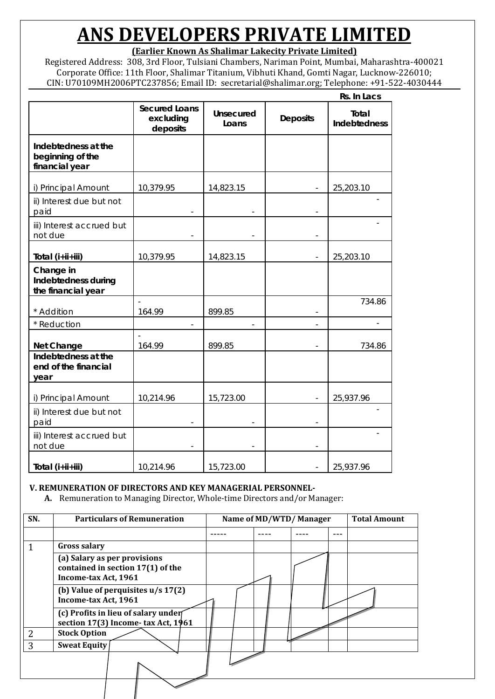**(Earlier Known As Shalimar Lakecity Private Limited)**

Registered Address: 308, 3rd Floor, Tulsiani Chambers, Nariman Point, Mumbai, Maharashtra-400021 Corporate Office: 11th Floor, Shalimar Titanium, Vibhuti Khand, Gomti Nagar, Lucknow-226010; CIN: U70109MH2006PTC237856; Email ID: secretarial@shalimar.org; Telephone: +91-522-4030444

|                                                           |                                               |                           |                          | Rs. In Lacs                  |
|-----------------------------------------------------------|-----------------------------------------------|---------------------------|--------------------------|------------------------------|
|                                                           | <b>Secured Loans</b><br>excluding<br>deposits | <b>Unsecured</b><br>Loans | <b>Deposits</b>          | Total<br><b>Indebtedness</b> |
| Indebtedness at the<br>beginning of the<br>financial year |                                               |                           |                          |                              |
| i) Principal Amount                                       | 10,379.95                                     | 14,823.15                 |                          | 25,203.10                    |
| ii) Interest due but not<br>paid                          |                                               |                           |                          |                              |
| iii) Interest accrued but<br>not due                      |                                               |                           | $\overline{\phantom{a}}$ |                              |
| Total (i+ii+iii)                                          | 10,379.95                                     | 14,823.15                 | $\overline{\phantom{a}}$ | 25,203.10                    |
| Change in<br>Indebtedness during<br>the financial year    |                                               |                           |                          |                              |
| * Addition                                                | 164.99                                        | 899.85                    | $\overline{\phantom{a}}$ | 734.86                       |
| * Reduction                                               |                                               |                           |                          |                              |
| <b>Net Change</b>                                         | 164.99                                        | 899.85                    | $\overline{a}$           | 734.86                       |
| Indebtedness at the<br>end of the financial<br>year       |                                               |                           |                          |                              |
| i) Principal Amount                                       | 10,214.96                                     | 15,723.00                 | $\overline{\phantom{a}}$ | 25,937.96                    |
| ii) Interest due but not<br>paid                          |                                               |                           |                          |                              |
| iii) Interest accrued but<br>not due                      |                                               |                           |                          |                              |
| Total (i+ii+iii)                                          | 10,214.96                                     | 15,723.00                 | $\overline{\phantom{a}}$ | 25,937.96                    |

#### **V. REMUNERATION OF DIRECTORS AND KEY MANAGERIAL PERSONNEL-**

**A.** Remuneration to Managing Director, Whole-time Directors and/or Manager:

| SN. | <b>Particulars of Remuneration</b>                                                        | Name of MD/WTD/Manager |  |  |  | <b>Total Amount</b> |
|-----|-------------------------------------------------------------------------------------------|------------------------|--|--|--|---------------------|
|     |                                                                                           |                        |  |  |  |                     |
|     | <b>Gross salary</b>                                                                       |                        |  |  |  |                     |
|     | (a) Salary as per provisions<br>contained in section 17(1) of the<br>Income-tax Act, 1961 |                        |  |  |  |                     |
|     | (b) Value of perquisites $u/s 17(2)$<br>Income-tax Act, 1961                              |                        |  |  |  |                     |
|     | (c) Profits in lieu of salary under<br>section 17(3) Income-tax Act, 1961                 |                        |  |  |  |                     |
| っ   | <b>Stock Option</b>                                                                       |                        |  |  |  |                     |
| 3   | <b>Sweat Equity</b>                                                                       |                        |  |  |  |                     |
|     |                                                                                           |                        |  |  |  |                     |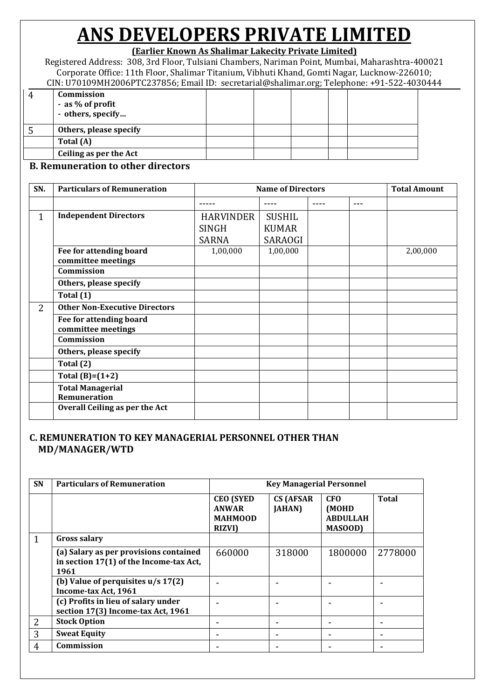### **(Earlier Known As Shalimar Lakecity Private Limited)**

Registered Address: 308, 3rd Floor, Tulsiani Chambers, Nariman Point, Mumbai, Maharashtra-400021 Corporate Office: 11th Floor, Shalimar Titanium, Vibhuti Khand, Gomti Nagar, Lucknow-226010; CIN: U70109MH2006PTC237856; Email ID: secretarial@shalimar.org; Telephone: +91-522-4030444

| un or or or or number of the cool and the secretariance shanniarion, receptioner or one root |  |  |  |  |
|----------------------------------------------------------------------------------------------|--|--|--|--|
| Commission<br>- as % of profit<br>- others, specify                                          |  |  |  |  |
| Others, please specify                                                                       |  |  |  |  |
| Total (A)                                                                                    |  |  |  |  |
| Ceiling as per the Act                                                                       |  |  |  |  |

#### **B. Remuneration to other directors**

| SN. | <b>Particulars of Remuneration</b>             | <b>Name of Directors</b> |                |  |     | <b>Total Amount</b> |
|-----|------------------------------------------------|--------------------------|----------------|--|-----|---------------------|
|     |                                                |                          |                |  | --- |                     |
| 1   | <b>Independent Directors</b>                   | <b>HARVINDER</b>         | <b>SUSHIL</b>  |  |     |                     |
|     |                                                | <b>SINGH</b>             | <b>KUMAR</b>   |  |     |                     |
|     |                                                | <b>SARNA</b>             | <b>SARAOGI</b> |  |     |                     |
|     | Fee for attending board<br>committee meetings  | 1,00,000                 | 1,00,000       |  |     | 2,00,000            |
|     | Commission                                     |                          |                |  |     |                     |
|     | Others, please specify                         |                          |                |  |     |                     |
|     | Total (1)                                      |                          |                |  |     |                     |
| 2   | <b>Other Non-Executive Directors</b>           |                          |                |  |     |                     |
|     | Fee for attending board<br>committee meetings  |                          |                |  |     |                     |
|     | Commission                                     |                          |                |  |     |                     |
|     | Others, please specify                         |                          |                |  |     |                     |
|     | Total (2)                                      |                          |                |  |     |                     |
|     | Total $(B)=(1+2)$                              |                          |                |  |     |                     |
|     | <b>Total Managerial</b><br><b>Remuneration</b> |                          |                |  |     |                     |
|     | Overall Ceiling as per the Act                 |                          |                |  |     |                     |

### **C. REMUNERATION TO KEY MANAGERIAL PERSONNEL OTHER THAN MD/MANAGER/WTD**

| <b>SN</b>      | <b>Particulars of Remuneration</b>                                                        | <b>Key Managerial Personnel</b>                               |                                    |                                                         |         |  |  |  |
|----------------|-------------------------------------------------------------------------------------------|---------------------------------------------------------------|------------------------------------|---------------------------------------------------------|---------|--|--|--|
|                |                                                                                           | <b>CEO</b> (SYED<br>ANWAR<br><b>MAHMOOD</b><br><b>RIZVI</b> ) | <b>CS (AFSAR</b><br><b>JAHAN</b> ) | <b>CFO</b><br>(MOHD<br><b>ABDULLAH</b><br><b>MASOOD</b> | Total   |  |  |  |
| 1              | <b>Gross salary</b>                                                                       |                                                               |                                    |                                                         |         |  |  |  |
|                | (a) Salary as per provisions contained<br>in section 17(1) of the Income-tax Act,<br>1961 | 660000                                                        | 318000                             | 1800000                                                 | 2778000 |  |  |  |
|                | (b) Value of perquisites $u/s 17(2)$<br>Income-tax Act, 1961                              |                                                               |                                    |                                                         |         |  |  |  |
|                | (c) Profits in lieu of salary under<br>section 17(3) Income-tax Act, 1961                 |                                                               |                                    |                                                         |         |  |  |  |
| $\overline{2}$ | <b>Stock Option</b>                                                                       |                                                               |                                    |                                                         |         |  |  |  |
| 3              | <b>Sweat Equity</b>                                                                       |                                                               |                                    |                                                         |         |  |  |  |
| 4              | Commission                                                                                |                                                               |                                    |                                                         |         |  |  |  |